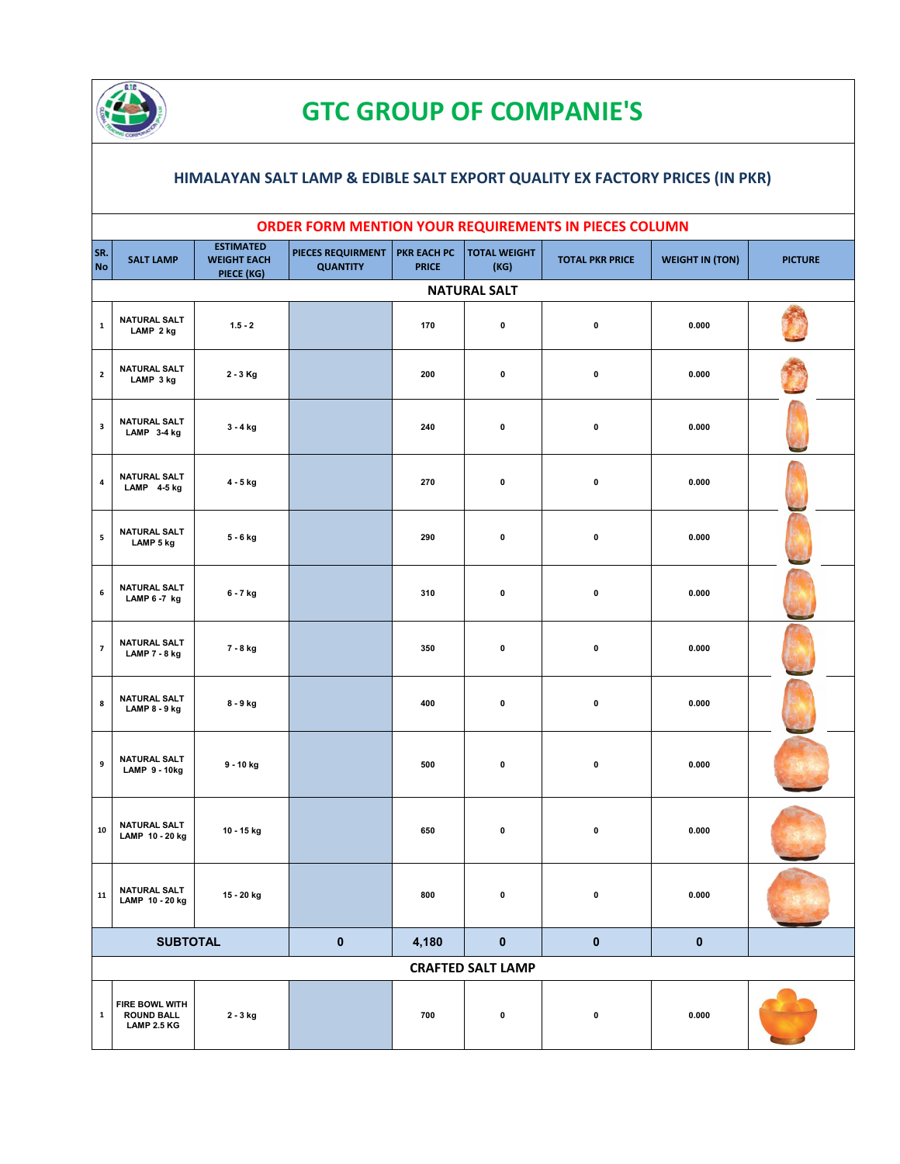

## **GTC GROUP OF COMPANIE'S**

## **HIMALAYAN SALT LAMP & EDIBLE SALT EXPORT QUALITY EX FACTORY PRICES (IN PKR)**

|                          |                                                           |                                                      |                                      |                             |                             | ORDER FORM MENTION YOUR REQUIREMENTS IN PIECES COLUMN |                        |                |
|--------------------------|-----------------------------------------------------------|------------------------------------------------------|--------------------------------------|-----------------------------|-----------------------------|-------------------------------------------------------|------------------------|----------------|
| SR.<br><b>No</b>         | <b>SALT LAMP</b>                                          | <b>ESTIMATED</b><br><b>WEIGHT EACH</b><br>PIECE (KG) | PIECES REQUIRMENT<br><b>QUANTITY</b> | PKR EACH PC<br><b>PRICE</b> | <b>TOTAL WEIGHT</b><br>(KG) | <b>TOTAL PKR PRICE</b>                                | <b>WEIGHT IN (TON)</b> | <b>PICTURE</b> |
|                          |                                                           |                                                      |                                      |                             | <b>NATURAL SALT</b>         |                                                       |                        |                |
| $\mathbf 1$              | <b>NATURAL SALT</b><br>LAMP 2 kg                          | $1.5 - 2$                                            |                                      | 170                         | 0                           | $\pmb{0}$                                             | 0.000                  |                |
| $\mathbf{2}$             | <b>NATURAL SALT</b><br>LAMP 3 kg                          | 2 - 3 Kg                                             |                                      | 200                         | 0                           | $\pmb{0}$                                             | 0.000                  |                |
| $\overline{\mathbf{3}}$  | <b>NATURAL SALT</b><br>LAMP 3-4 kg                        | $3 - 4$ kg                                           |                                      | 240                         | 0                           | $\pmb{0}$                                             | 0.000                  |                |
| $\pmb{4}$                | <b>NATURAL SALT</b><br>LAMP 4-5 kg                        | 4 - 5 kg                                             |                                      | 270                         | 0                           | $\pmb{0}$                                             | 0.000                  |                |
| 5                        | <b>NATURAL SALT</b><br>LAMP 5 kg                          | 5 - 6 kg                                             |                                      | 290                         | 0                           | $\pmb{0}$                                             | 0.000                  |                |
| $\boldsymbol{6}$         | <b>NATURAL SALT</b><br>LAMP 6-7 kg                        | 6 - 7 kg                                             |                                      | 310                         | 0                           | $\pmb{0}$                                             | 0.000                  |                |
| $\overline{\phantom{a}}$ | <b>NATURAL SALT</b><br>LAMP 7 - 8 kg                      | 7 - 8 kg                                             |                                      | 350                         | 0                           | $\pmb{0}$                                             | 0.000                  |                |
| 8                        | <b>NATURAL SALT</b><br>LAMP 8 - 9 kg                      | 8 - 9 kg                                             |                                      | 400                         | 0                           | $\pmb{0}$                                             | 0.000                  |                |
| 9                        | <b>NATURAL SALT</b><br><b>LAMP 9-10kg</b>                 | 9 - 10 kg                                            |                                      | 500                         | 0                           | $\pmb{0}$                                             | 0.000                  |                |
| ${\bf 10}$               | <b>NATURAL SALT</b><br>LAMP 10 - 20 kg                    | 10 - 15 kg                                           |                                      | 650                         | 0                           | $\pmb{0}$                                             | 0.000                  |                |
| 11                       | <b>NATURAL SALT</b><br>LAMP 10 - 20 kg                    | 15 - 20 kg                                           |                                      | 800                         | 0                           | 0                                                     | 0.000                  |                |
|                          | <b>SUBTOTAL</b>                                           |                                                      | $\pmb{0}$                            | 4,180                       | $\pmb{0}$                   | $\pmb{0}$                                             | $\mathbf 0$            |                |
|                          |                                                           |                                                      |                                      |                             | <b>CRAFTED SALT LAMP</b>    |                                                       |                        |                |
| $\mathbf{1}$             | FIRE BOWL WITH<br><b>ROUND BALL</b><br><b>LAMP 2.5 KG</b> | 2 - 3 kg                                             |                                      | 700                         | 0                           | 0                                                     | 0.000                  |                |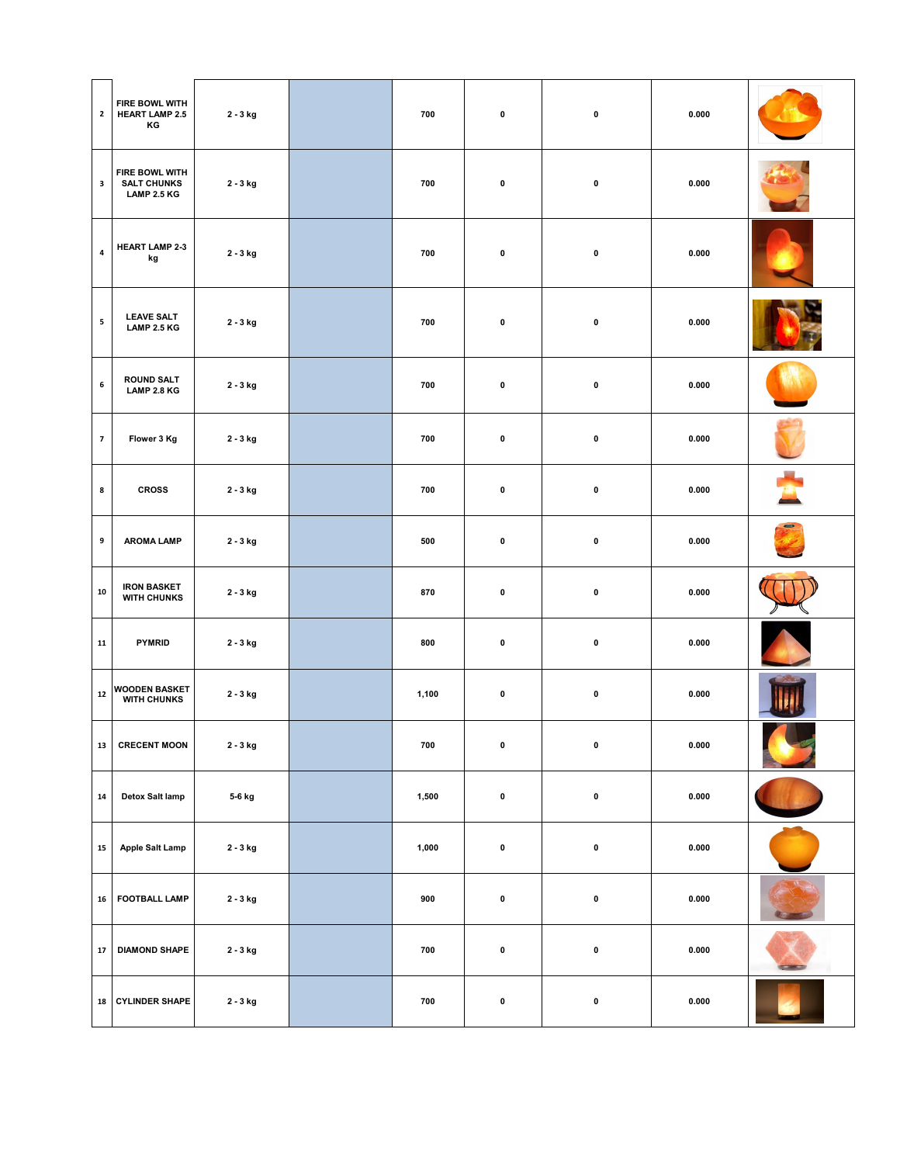| $\mathbf{2}$   | FIRE BOWL WITH<br><b>HEART LAMP 2.5</b><br>КG       | 2 - 3 kg             | 700   | 0         | $\pmb{0}$   | 0.000 |                |
|----------------|-----------------------------------------------------|----------------------|-------|-----------|-------------|-------|----------------|
| $\mathbf{3}$   | FIRE BOWL WITH<br><b>SALT CHUNKS</b><br>LAMP 2.5 KG | 2 - 3 kg             | 700   | 0         | $\mathbf 0$ | 0.000 |                |
| $\pmb{4}$      | <b>HEART LAMP 2-3</b><br>kg                         | 2 - 3 kg             | 700   | $\pmb{0}$ | $\pmb{0}$   | 0.000 |                |
| ${\bf 5}$      | <b>LEAVE SALT</b><br>LAMP 2.5 KG                    | 2 - 3 kg             | 700   | 0         | $\mathbf 0$ | 0.000 |                |
| $\,$ 6         | <b>ROUND SALT</b><br>LAMP 2.8 KG                    | 2 - 3 kg             | 700   | 0         | $\pmb{0}$   | 0.000 |                |
| $\overline{7}$ | Flower 3 Kg                                         | 2 - 3 kg             | 700   | 0         | $\pmb{0}$   | 0.000 |                |
| 8              | <b>CROSS</b>                                        | 2 - 3 kg             | 700   | 0         | $\pmb{0}$   | 0.000 |                |
| 9              | <b>AROMA LAMP</b>                                   | 2 - 3 kg             | 500   | 0         | $\pmb{0}$   | 0.000 |                |
| ${\bf 10}$     | <b>IRON BASKET</b><br><b>WITH CHUNKS</b>            | 2 - 3 kg             | 870   | $\pmb{0}$ | $\pmb{0}$   | 0.000 |                |
| ${\bf 11}$     | <b>PYMRID</b>                                       | 2 - 3 kg             | 800   | 0         | $\pmb{0}$   | 0.000 |                |
| $\bf 12$       | <b>WOODEN BASKET</b><br><b>WITH CHUNKS</b>          | 2 - 3 kg             | 1,100 | 0         | $\mathbf 0$ | 0.000 |                |
| 13             | <b>CRECENT MOON</b>                                 | $2$ - $3\, {\rm kg}$ | 700   | $\pmb{0}$ | $\pmb{0}$   | 0.000 | <u>- 12</u>    |
| ${\bf 14}$     | Detox Salt lamp                                     | 5-6 kg               | 1,500 | $\pmb{0}$ | $\pmb{0}$   | 0.000 |                |
| ${\bf 15}$     | Apple Salt Lamp                                     | 2 - 3 kg             | 1,000 | $\pmb{0}$ | $\mathbf 0$ | 0.000 |                |
| 16             | <b>FOOTBALL LAMP</b>                                | 2 - 3 kg             | 900   | $\pmb{0}$ | $\pmb{0}$   | 0.000 |                |
| $\bf 17$       | <b>DIAMOND SHAPE</b>                                | 2 - 3 kg             | 700   | $\pmb{0}$ | $\pmb{0}$   | 0.000 | <b>STARTED</b> |
| 18             | <b>CYLINDER SHAPE</b>                               | 2 - 3 kg             | 700   | 0         | $\pmb{0}$   | 0.000 |                |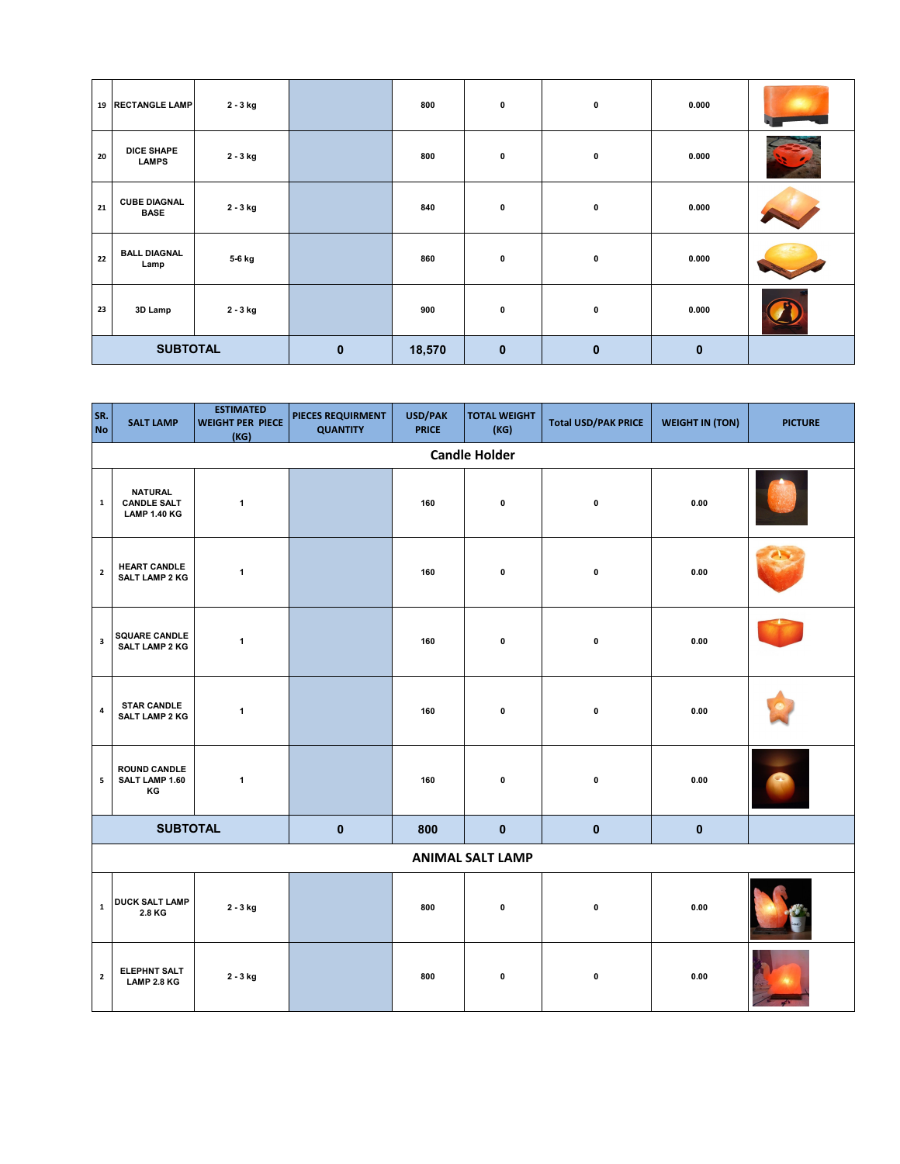|                 | 19 RECTANGLE LAMP                  | 2 - 3 kg |             | 800    | $\bf{0}$     | 0            | 0.000        |  |
|-----------------|------------------------------------|----------|-------------|--------|--------------|--------------|--------------|--|
| 20              | <b>DICE SHAPE</b><br><b>LAMPS</b>  | 2 - 3 kg |             | 800    | $\bf{0}$     | 0            | 0.000        |  |
| 21              | <b>CUBE DIAGNAL</b><br><b>BASE</b> | 2 - 3 kg |             | 840    | $\bf{0}$     | 0            | 0.000        |  |
| 22              | <b>BALL DIAGNAL</b><br>Lamp        | 5-6 kg   |             | 860    | 0            | $\mathbf 0$  | 0.000        |  |
| 23              | 3D Lamp                            | 2 - 3 kg |             | 900    | 0            | 0            | 0.000        |  |
| <b>SUBTOTAL</b> |                                    |          | $\mathbf 0$ | 18,570 | $\mathbf{0}$ | $\mathbf{0}$ | $\mathbf{0}$ |  |

| SR.<br><b>No</b>        | <b>SALT LAMP</b>                                            | <b>ESTIMATED</b><br><b>WEIGHT PER PIECE</b><br>(KG) | PIECES REQUIRMENT<br><b>QUANTITY</b> | USD/PAK<br><b>PRICE</b> | <b>TOTAL WEIGHT</b><br>(KG) | <b>Total USD/PAK PRICE</b> | <b>WEIGHT IN (TON)</b> | <b>PICTURE</b> |  |  |  |
|-------------------------|-------------------------------------------------------------|-----------------------------------------------------|--------------------------------------|-------------------------|-----------------------------|----------------------------|------------------------|----------------|--|--|--|
|                         | <b>Candle Holder</b>                                        |                                                     |                                      |                         |                             |                            |                        |                |  |  |  |
| $\mathbf 1$             | <b>NATURAL</b><br><b>CANDLE SALT</b><br><b>LAMP 1.40 KG</b> | $\mathbf{1}$                                        |                                      | 160                     | $\pmb{0}$                   | $\pmb{0}$                  | 0.00                   |                |  |  |  |
| $\overline{\mathbf{2}}$ | <b>HEART CANDLE</b><br>SALT LAMP 2 KG                       | $\mathbf{1}$                                        |                                      | 160                     | $\pmb{0}$                   | $\pmb{0}$                  | 0.00                   |                |  |  |  |
| $\overline{\mathbf{3}}$ | <b>SQUARE CANDLE</b><br>SALT LAMP 2 KG                      | $\mathbf{1}$                                        |                                      | 160                     | $\pmb{0}$                   | $\pmb{0}$                  | 0.00                   |                |  |  |  |
| $\overline{a}$          | <b>STAR CANDLE</b><br><b>SALT LAMP 2 KG</b>                 | $\mathbf{1}$                                        |                                      | 160                     | 0                           | $\pmb{0}$                  | 0.00                   |                |  |  |  |
| ${\bf 5}$               | <b>ROUND CANDLE</b><br>SALT LAMP 1.60<br>КG                 | $\mathbf{1}$                                        |                                      | 160                     | $\pmb{0}$                   | $\pmb{0}$                  | 0.00                   |                |  |  |  |
|                         | <b>SUBTOTAL</b>                                             |                                                     | $\mathbf 0$                          | 800                     | $\mathbf 0$                 | $\pmb{0}$                  | $\mathbf{0}$           |                |  |  |  |
|                         | <b>ANIMAL SALT LAMP</b>                                     |                                                     |                                      |                         |                             |                            |                        |                |  |  |  |
| $\mathbf 1$             | <b>DUCK SALT LAMP</b><br>2.8 KG                             | $2 - 3$ kg                                          |                                      | 800                     | $\pmb{0}$                   | $\pmb{0}$                  | 0.00                   |                |  |  |  |
| $\overline{\mathbf{2}}$ | <b>ELEPHNT SALT</b><br>LAMP 2.8 KG                          | 2 - 3 kg                                            |                                      | 800                     | $\pmb{0}$                   | $\pmb{0}$                  | 0.00                   |                |  |  |  |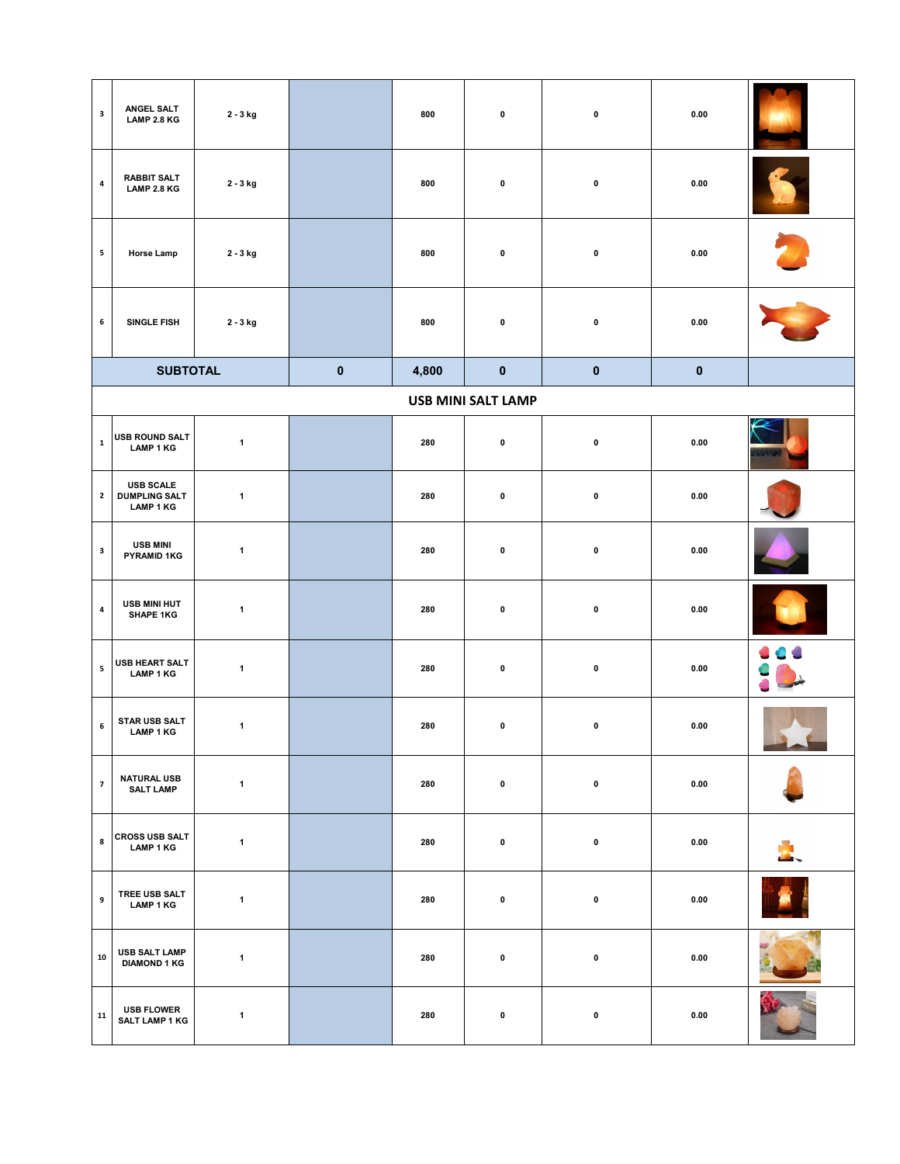| $\overline{\mathbf{3}}$ | ANGEL SALT<br>LAMP 2.8 KG                                    | 2 - 3 kg     |           | 800   | $\mathbf 0$               | $\mathbf 0$ | $0.00\,$ |  |
|-------------------------|--------------------------------------------------------------|--------------|-----------|-------|---------------------------|-------------|----------|--|
| $\pmb{4}$               | <b>RABBIT SALT</b><br>LAMP 2.8 KG                            | 2 - 3 kg     |           | 800   | $\mathbf 0$               | $\pmb{0}$   | 0.00     |  |
| 5                       | <b>Horse Lamp</b>                                            | 2 - 3 kg     |           | 800   | $\mathbf 0$               | $\pmb{0}$   | 0.00     |  |
| $\boldsymbol{6}$        | SINGLE FISH                                                  | 2 - 3 kg     |           | 800   | $\pmb{0}$                 | $\pmb{0}$   | 0.00     |  |
|                         | <b>SUBTOTAL</b>                                              |              | $\pmb{0}$ | 4,800 | $\mathbf 0$               | $\mathbf 0$ | $\bf{0}$ |  |
|                         |                                                              |              |           |       | <b>USB MINI SALT LAMP</b> |             |          |  |
| $\mathbf 1$             | USB ROUND SALT<br>LAMP 1 KG                                  | $\mathbf{1}$ |           | 280   | $\pmb{0}$                 | $\pmb{0}$   | 0.00     |  |
| $\mathbf{2}$            | <b>USB SCALE</b><br><b>DUMPLING SALT</b><br><b>LAMP 1 KG</b> | $\mathbf{1}$ |           | 280   | $\pmb{0}$                 | $\pmb{0}$   | 0.00     |  |
| $\mathbf{3}$            | <b>USB MINI</b><br><b>PYRAMID 1KG</b>                        | $\mathbf{1}$ |           | 280   | $\mathbf 0$               | $\mathbf 0$ | 0.00     |  |
| $\pmb{4}$               | USB MINI HUT<br><b>SHAPE 1KG</b>                             | $\mathbf{1}$ |           | 280   | $\mathbf 0$               | $\pmb{0}$   | 0.00     |  |
| ${\mathbf 5}$           | USB HEART SALT<br>LAMP 1 KG                                  | $\mathbf{1}$ |           | 280   | $\pmb{0}$                 | $\pmb{0}$   | 0.00     |  |
| $\boldsymbol{6}$        | STAR USB SALT<br><b>LAMP 1 KG</b>                            | $\mathbf{1}$ |           | 280   | $\mathbf 0$               | $\mathbf 0$ | 0.00     |  |
| $\overline{7}$          | <b>NATURAL USB</b><br><b>SALT LAMP</b>                       | $\mathbf{1}$ |           | 280   | 0                         | $\mathbf 0$ | 0.00     |  |
| $\bf8$                  | <b>CROSS USB SALT</b><br>LAMP 1 KG                           | $\mathbf{1}$ |           | 280   | 0                         | $\mathbf 0$ | 0.00     |  |
| 9                       | TREE USB SALT<br><b>LAMP 1 KG</b>                            | $\mathbf{1}$ |           | 280   | $\pmb{0}$                 | $\pmb{0}$   | 0.00     |  |
| 10                      | <b>USB SALT LAMP</b><br><b>DIAMOND 1 KG</b>                  | $\mathbf{1}$ |           | 280   | $\pmb{0}$                 | $\pmb{0}$   | 0.00     |  |
| 11                      | <b>USB FLOWER</b><br><b>SALT LAMP 1 KG</b>                   | $\mathbf{1}$ |           | 280   | $\pmb{0}$                 | $\pmb{0}$   | 0.00     |  |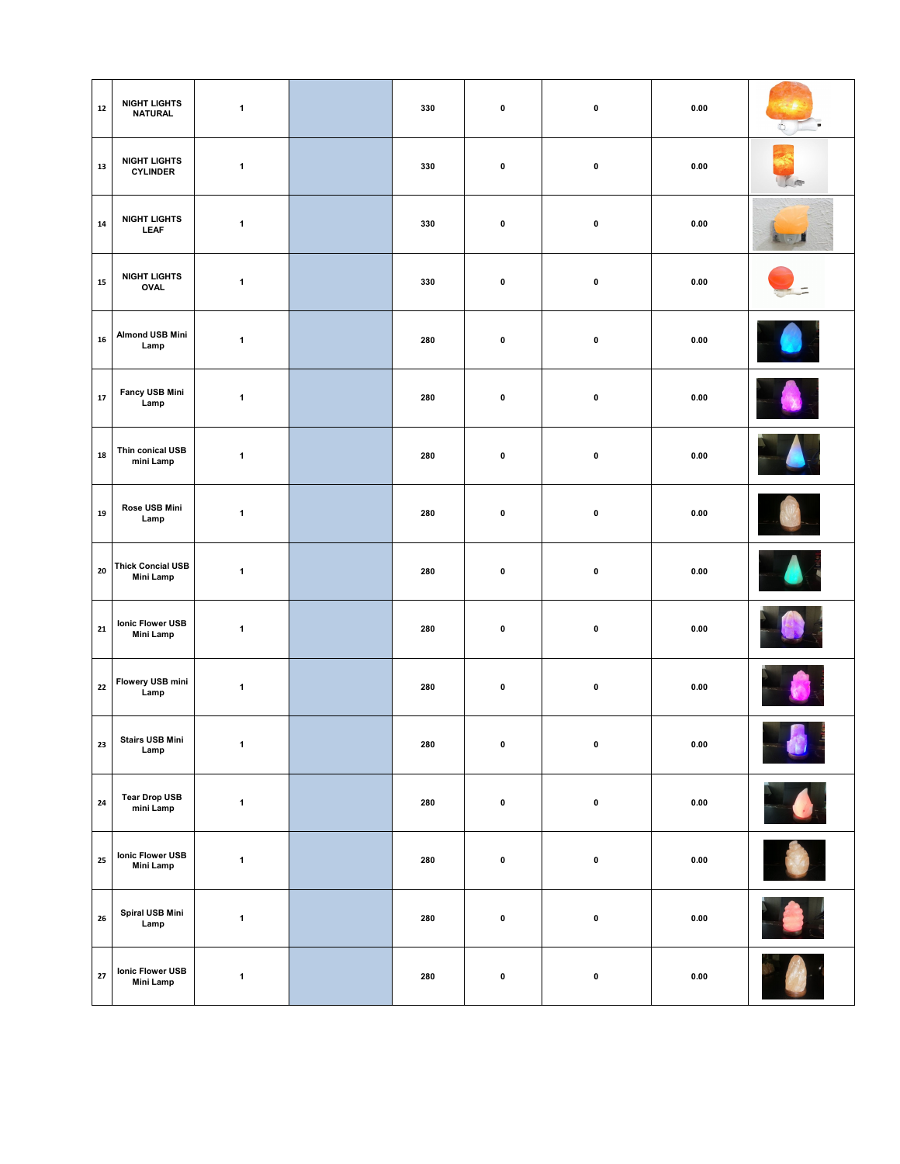| 12            | <b>NIGHT LIGHTS</b><br><b>NATURAL</b>        | $\mathbf{1}$ | 330 | $\pmb{0}$   | $\pmb{0}$ | 0.00       |           |
|---------------|----------------------------------------------|--------------|-----|-------------|-----------|------------|-----------|
| 13            | <b>NIGHT LIGHTS</b><br><b>CYLINDER</b>       | $\mathbf{1}$ | 330 | $\pmb{0}$   | $\pmb{0}$ | 0.00       |           |
| 14            | <b>NIGHT LIGHTS</b><br><b>LEAF</b>           | $\mathbf{1}$ | 330 | $\pmb{0}$   | $\pmb{0}$ | 0.00       |           |
| 15            | <b>NIGHT LIGHTS</b><br><b>OVAL</b>           | $\mathbf{1}$ | 330 | $\pmb{0}$   | $\pmb{0}$ | 0.00       |           |
| 16            | <b>Almond USB Mini</b><br>Lamp               | $\mathbf{1}$ | 280 | $\bf{0}$    | $\pmb{0}$ | 0.00       |           |
| 17            | Fancy USB Mini<br>Lamp                       | $\mathbf{1}$ | 280 | $\pmb{0}$   | 0         | 0.00       |           |
| 18            | Thin conical USB<br>mini Lamp                | $\mathbf{1}$ | 280 | $\pmb{0}$   | $\pmb{0}$ | 0.00       |           |
| 19            | Rose USB Mini<br>Lamp                        | $\mathbf{1}$ | 280 | $\pmb{0}$   | $\pmb{0}$ | 0.00       |           |
| 20            | <b>Thick Concial USB</b><br><b>Mini Lamp</b> | $\mathbf{1}$ | 280 | $\pmb{0}$   | $\pmb{0}$ | 0.00       |           |
| 21            | Ionic Flower USB<br><b>Mini Lamp</b>         | $\mathbf{1}$ | 280 | $\pmb{0}$   | $\pmb{0}$ | 0.00       |           |
| 22            | Flowery USB mini<br>Lamp                     | $\mathbf{1}$ | 280 | $\mathbf 0$ | $\pmb{0}$ | 0.00       |           |
| 23            | <b>Stairs USB Mini</b><br>Lamp               | $\mathbf{1}$ | 280 | $\pmb{0}$   | $\pmb{0}$ | $\bf 0.00$ | O I       |
| 24            | <b>Tear Drop USB</b><br>mini Lamp            | $\mathbf{1}$ | 280 | $\pmb{0}$   | $\pmb{0}$ | $\bf 0.00$ |           |
| 25            | Ionic Flower USB<br><b>Mini Lamp</b>         | $\mathbf{1}$ | 280 | $\pmb{0}$   | $\pmb{0}$ | 0.00       | O         |
| ${\bf 26}$    | Spiral USB Mini<br>Lamp                      | $\mathbf{1}$ | 280 | $\pmb{0}$   | $\pmb{0}$ | 0.00       | $\bullet$ |
| $\mathbf{27}$ | Ionic Flower USB<br><b>Mini Lamp</b>         | $\mathbf{1}$ | 280 | $\pmb{0}$   | $\pmb{0}$ | 0.00       |           |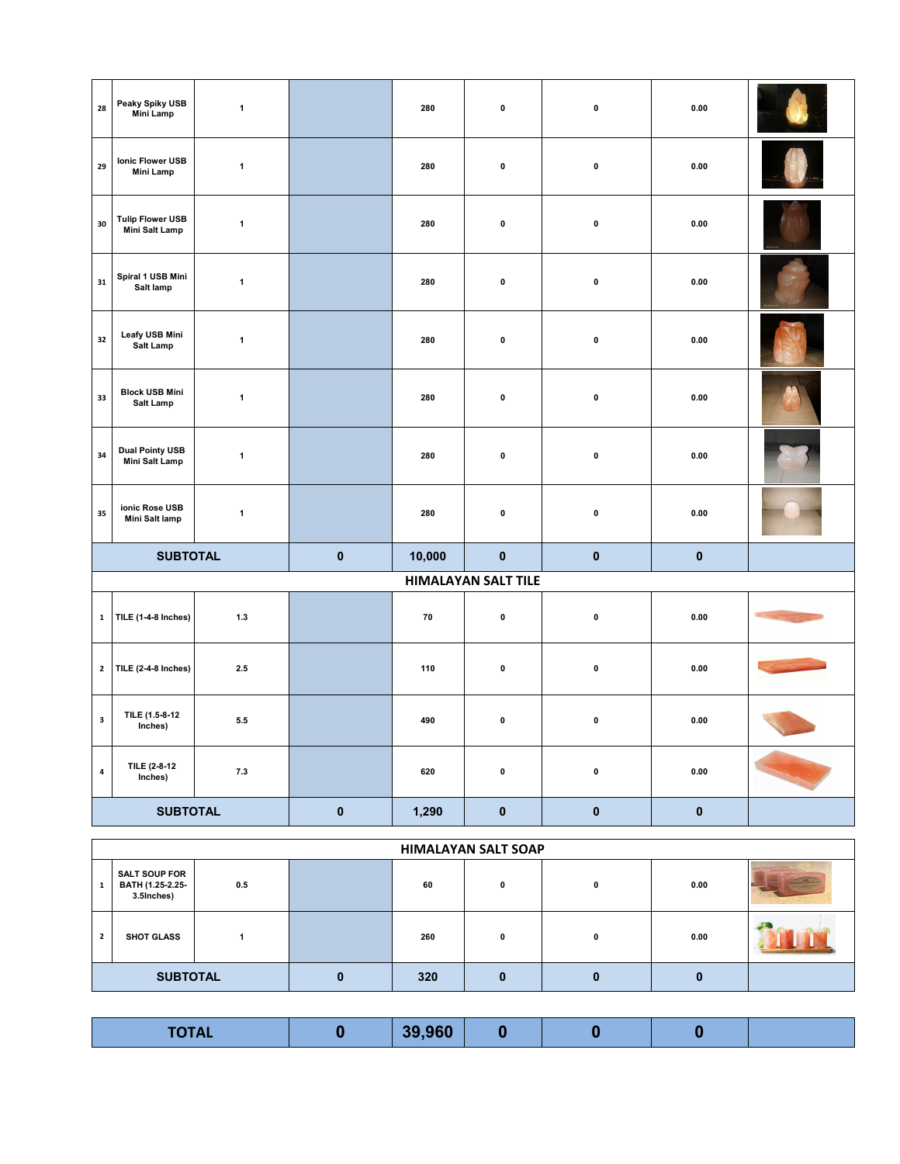| 28           | Peaky Spiky USB<br>Mini Lamp              | $\mathbf{1}$ |           | 280    | $\pmb{0}$                  | $\pmb{0}$ | 0.00       |  |
|--------------|-------------------------------------------|--------------|-----------|--------|----------------------------|-----------|------------|--|
| 29           | Ionic Flower USB<br><b>Mini Lamp</b>      | $\mathbf{1}$ |           | 280    | $\pmb{0}$                  | $\pmb{0}$ | $\bf 0.00$ |  |
| 30           | <b>Tulip Flower USB</b><br>Mini Salt Lamp | $\mathbf{1}$ |           | 280    | $\pmb{0}$                  | $\pmb{0}$ | 0.00       |  |
| 31           | Spiral 1 USB Mini<br>Salt lamp            | $\mathbf{1}$ |           | 280    | $\pmb{0}$                  | $\pmb{0}$ | 0.00       |  |
| 32           | Leafy USB Mini<br>Salt Lamp               | $\mathbf{1}$ |           | 280    | $\pmb{0}$                  | $\pmb{0}$ | 0.00       |  |
| 33           | <b>Block USB Mini</b><br><b>Salt Lamp</b> | $\mathbf 1$  |           | 280    | $\pmb{0}$                  | $\pmb{0}$ | $\bf 0.00$ |  |
| 34           | <b>Dual Pointy USB</b><br>Mini Salt Lamp  | $\mathbf{1}$ |           | 280    | $\pmb{0}$                  | $\pmb{0}$ | 0.00       |  |
| 35           | ionic Rose USB<br>Mini Salt lamp          | $\mathbf{1}$ |           | 280    | $\pmb{0}$                  | $\pmb{0}$ | 0.00       |  |
|              | <b>SUBTOTAL</b>                           |              | $\pmb{0}$ | 10,000 | $\pmb{0}$                  | $\pmb{0}$ | $\pmb{0}$  |  |
|              |                                           |              |           |        | <b>HIMALAYAN SALT TILE</b> |           |            |  |
| $\mathbf 1$  | TILE (1-4-8 Inches)                       | $1.3$        |           | 70     | $\pmb{0}$                  | $\pmb{0}$ | $\bf 0.00$ |  |
| $\mathbf{2}$ | TILE (2-4-8 Inches)                       | 2.5          |           | 110    | $\pmb{0}$                  | $\pmb{0}$ | $\bf 0.00$ |  |
| $\mathbf 3$  | TILE (1.5-8-12<br>Inches)                 | $5.5\,$      |           | 490    | $\pmb{0}$                  | $\pmb{0}$ | 0.00       |  |
| $\pmb{4}$    | TILE (2-8-12<br>Inches)                   | 7.3          |           | 620    | $\pmb{0}$                  | $\pmb{0}$ | $\bf 0.00$ |  |
|              | <b>SUBTOTAL</b>                           |              | $\pmb{0}$ | 1,290  | $\pmb{0}$                  | $\pmb{0}$ | $\pmb{0}$  |  |

|                | <b>HIMALAYAN SALT SOAP</b>                             |     |   |     |   |              |      |  |  |
|----------------|--------------------------------------------------------|-----|---|-----|---|--------------|------|--|--|
| 1              | <b>SALT SOUP FOR</b><br>BATH (1.25-2.25-<br>3.5Inches) | 0.5 |   | 60  | n | 0            | 0.00 |  |  |
| $\overline{2}$ | <b>SHOT GLASS</b>                                      |     |   | 260 |   | <sup>0</sup> | 0.00 |  |  |
|                | <b>SUBTOTAL</b>                                        |     | 0 | 320 |   |              |      |  |  |

| <b>TOTAL</b><br>10172 |  | 39,960 |  |  |  |  |
|-----------------------|--|--------|--|--|--|--|
|-----------------------|--|--------|--|--|--|--|